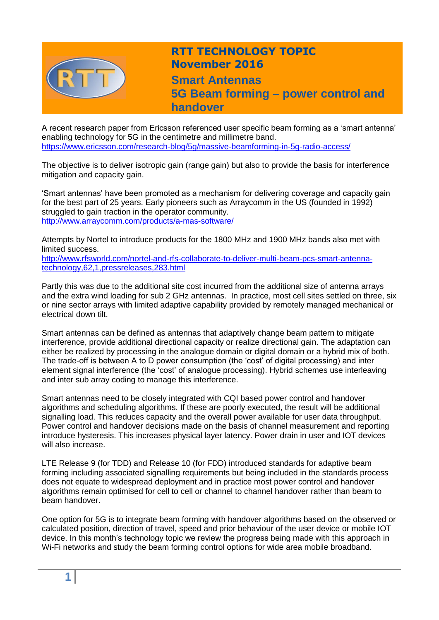

## **RTT TECHNOLOGY TOPIC November 2016 Smart Antennas**

**5G Beam forming – power control and handover**

A recent research paper from Ericsson referenced user specific beam forming as a 'smart antenna' enabling technology for 5G in the centimetre and millimetre band. <https://www.ericsson.com/research-blog/5g/massive-beamforming-in-5g-radio-access/>

The objective is to deliver isotropic gain (range gain) but also to provide the basis for interference mitigation and capacity gain.

'Smart antennas' have been promoted as a mechanism for delivering coverage and capacity gain for the best part of 25 years. Early pioneers such as Arraycomm in the US (founded in 1992) struggled to gain traction in the operator community. <http://www.arraycomm.com/products/a-mas-software/>

Attempts by Nortel to introduce products for the 1800 MHz and 1900 MHz bands also met with limited success.

[http://www.rfsworld.com/nortel-and-rfs-collaborate-to-deliver-multi-beam-pcs-smart-antenna](http://www.rfsworld.com/nortel-and-rfs-collaborate-to-deliver-multi-beam-pcs-smart-antenna-technology,62,1,pressreleases,283.html)[technology,62,1,pressreleases,283.html](http://www.rfsworld.com/nortel-and-rfs-collaborate-to-deliver-multi-beam-pcs-smart-antenna-technology,62,1,pressreleases,283.html)

Partly this was due to the additional site cost incurred from the additional size of antenna arrays and the extra wind loading for sub 2 GHz antennas. In practice, most cell sites settled on three, six or nine sector arrays with limited adaptive capability provided by remotely managed mechanical or electrical down tilt.

Smart antennas can be defined as antennas that adaptively change beam pattern to mitigate interference, provide additional directional capacity or realize directional gain. The adaptation can either be realized by processing in the analogue domain or digital domain or a hybrid mix of both. The trade-off is between A to D power consumption (the 'cost' of digital processing) and inter element signal interference (the 'cost' of analogue processing). Hybrid schemes use interleaving and inter sub array coding to manage this interference.

Smart antennas need to be closely integrated with CQI based power control and handover algorithms and scheduling algorithms. If these are poorly executed, the result will be additional signalling load. This reduces capacity and the overall power available for user data throughput. Power control and handover decisions made on the basis of channel measurement and reporting introduce hysteresis. This increases physical layer latency. Power drain in user and IOT devices will also increase.

LTE Release 9 (for TDD) and Release 10 (for FDD) introduced standards for adaptive beam forming including associated signalling requirements but being included in the standards process does not equate to widespread deployment and in practice most power control and handover algorithms remain optimised for cell to cell or channel to channel handover rather than beam to beam handover.

One option for 5G is to integrate beam forming with handover algorithms based on the observed or calculated position, direction of travel, speed and prior behaviour of the user device or mobile IOT device. In this month's technology topic we review the progress being made with this approach in Wi-Fi networks and study the beam forming control options for wide area mobile broadband.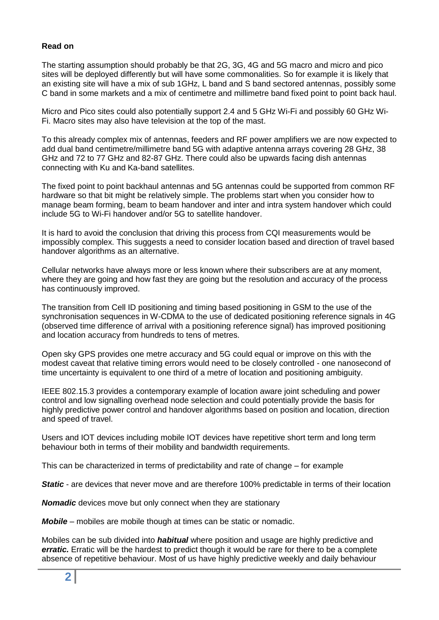## **Read on**

The starting assumption should probably be that 2G, 3G, 4G and 5G macro and micro and pico sites will be deployed differently but will have some commonalities. So for example it is likely that an existing site will have a mix of sub 1GHz, L band and S band sectored antennas, possibly some C band in some markets and a mix of centimetre and millimetre band fixed point to point back haul.

Micro and Pico sites could also potentially support 2.4 and 5 GHz Wi-Fi and possibly 60 GHz Wi-Fi. Macro sites may also have television at the top of the mast.

To this already complex mix of antennas, feeders and RF power amplifiers we are now expected to add dual band centimetre/millimetre band 5G with adaptive antenna arrays covering 28 GHz, 38 GHz and 72 to 77 GHz and 82-87 GHz. There could also be upwards facing dish antennas connecting with Ku and Ka-band satellites.

The fixed point to point backhaul antennas and 5G antennas could be supported from common RF hardware so that bit might be relatively simple. The problems start when you consider how to manage beam forming, beam to beam handover and inter and intra system handover which could include 5G to Wi-Fi handover and/or 5G to satellite handover.

It is hard to avoid the conclusion that driving this process from CQI measurements would be impossibly complex. This suggests a need to consider location based and direction of travel based handover algorithms as an alternative.

Cellular networks have always more or less known where their subscribers are at any moment, where they are going and how fast they are going but the resolution and accuracy of the process has continuously improved.

The transition from Cell ID positioning and timing based positioning in GSM to the use of the synchronisation sequences in W-CDMA to the use of dedicated positioning reference signals in 4G (observed time difference of arrival with a positioning reference signal) has improved positioning and location accuracy from hundreds to tens of metres.

Open sky GPS provides one metre accuracy and 5G could equal or improve on this with the modest caveat that relative timing errors would need to be closely controlled - one nanosecond of time uncertainty is equivalent to one third of a metre of location and positioning ambiguity.

IEEE 802.15.3 provides a contemporary example of location aware joint scheduling and power control and low signalling overhead node selection and could potentially provide the basis for highly predictive power control and handover algorithms based on position and location, direction and speed of travel.

Users and IOT devices including mobile IOT devices have repetitive short term and long term behaviour both in terms of their mobility and bandwidth requirements.

This can be characterized in terms of predictability and rate of change – for example

**Static** - are devices that never move and are therefore 100% predictable in terms of their location

*Nomadic* devices move but only connect when they are stationary

*Mobile* – mobiles are mobile though at times can be static or nomadic.

Mobiles can be sub divided into *habitual* where position and usage are highly predictive and *erratic.* Erratic will be the hardest to predict though it would be rare for there to be a complete absence of repetitive behaviour. Most of us have highly predictive weekly and daily behaviour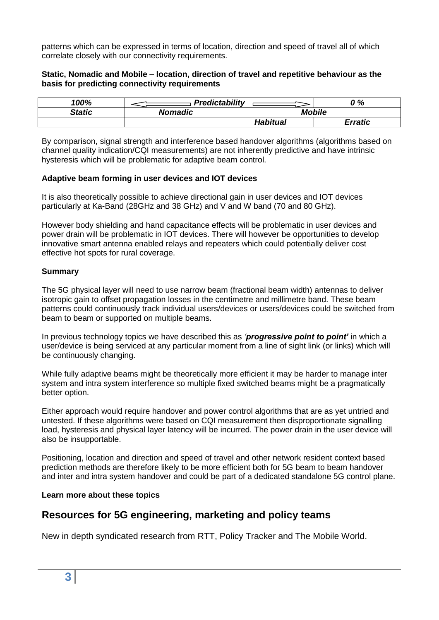patterns which can be expressed in terms of location, direction and speed of travel all of which correlate closely with our connectivity requirements.

## **Static, Nomadic and Mobile – location, direction of travel and repetitive behaviour as the basis for predicting connectivity requirements**

| 100%          | <b>Predictability</b> |               | ን %            |
|---------------|-----------------------|---------------|----------------|
| <b>Static</b> | <b>Nomadic</b>        | <b>Mobile</b> |                |
|               |                       | Habitual      | <b>Erratic</b> |

By comparison, signal strength and interference based handover algorithms (algorithms based on channel quality indication/CQI measurements) are not inherently predictive and have intrinsic hysteresis which will be problematic for adaptive beam control.

## **Adaptive beam forming in user devices and IOT devices**

It is also theoretically possible to achieve directional gain in user devices and IOT devices particularly at Ka-Band (28GHz and 38 GHz) and V and W band (70 and 80 GHz).

However body shielding and hand capacitance effects will be problematic in user devices and power drain will be problematic in IOT devices. There will however be opportunities to develop innovative smart antenna enabled relays and repeaters which could potentially deliver cost effective hot spots for rural coverage.

## **Summary**

The 5G physical layer will need to use narrow beam (fractional beam width) antennas to deliver isotropic gain to offset propagation losses in the centimetre and millimetre band. These beam patterns could continuously track individual users/devices or users/devices could be switched from beam to beam or supported on multiple beams.

In previous technology topics we have described this as *'progressive point to point'* in which a user/device is being serviced at any particular moment from a line of sight link (or links) which will be continuously changing.

While fully adaptive beams might be theoretically more efficient it may be harder to manage inter system and intra system interference so multiple fixed switched beams might be a pragmatically better option.

Either approach would require handover and power control algorithms that are as yet untried and untested. If these algorithms were based on CQI measurement then disproportionate signalling load, hysteresis and physical layer latency will be incurred. The power drain in the user device will also be insupportable.

Positioning, location and direction and speed of travel and other network resident context based prediction methods are therefore likely to be more efficient both for 5G beam to beam handover and inter and intra system handover and could be part of a dedicated standalone 5G control plane.

## **Learn more about these topics**

## **Resources for 5G engineering, marketing and policy teams**

New in depth syndicated research from RTT, Policy Tracker and The Mobile World.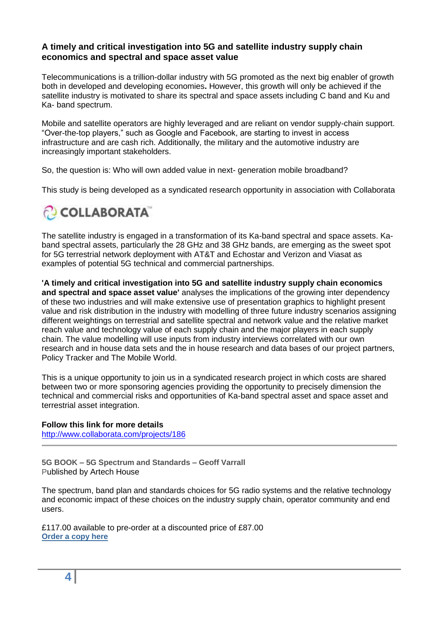## **A timely and critical investigation into 5G and satellite industry supply chain economics and spectral and space asset value**

Telecommunications is a trillion-dollar industry with 5G promoted as the next big enabler of growth both in developed and developing economies**.** However, this growth will only be achieved if the satellite industry is motivated to share its spectral and space assets including C band and Ku and Ka- band spectrum.

Mobile and satellite operators are highly leveraged and are reliant on vendor supply-chain support. "Over-the-top players," such as Google and Facebook, are starting to invest in access infrastructure and are cash rich. Additionally, the military and the automotive industry are increasingly important stakeholders.

So, the question is: Who will own added value in next- generation mobile broadband?

This study is being developed as a syndicated research opportunity in association with Collaborata

# COLLABORATA

The satellite industry is engaged in a transformation of its Ka-band spectral and space assets. Kaband spectral assets, particularly the 28 GHz and 38 GHz bands, are emerging as the sweet spot for 5G terrestrial network deployment with AT&T and Echostar and Verizon and Viasat as examples of potential 5G technical and commercial partnerships.

**'A timely and critical investigation into 5G and satellite industry supply chain economics and spectral and space asset value'** analyses the implications of the growing inter dependency of these two industries and will make extensive use of presentation graphics to highlight present value and risk distribution in the industry with modelling of three future industry scenarios assigning different weightings on terrestrial and satellite spectral and network value and the relative market reach value and technology value of each supply chain and the major players in each supply chain. The value modelling will use inputs from industry interviews correlated with our own research and in house data sets and the in house research and data bases of our project partners, Policy Tracker and The Mobile World.

This is a unique opportunity to join us in a syndicated research project in which costs are shared between two or more sponsoring agencies providing the opportunity to precisely dimension the technical and commercial risks and opportunities of Ka-band spectral asset and space asset and terrestrial asset integration.

## **Follow this link for more details**

<http://www.collaborata.com/projects/186>

**5G BOOK – 5G Spectrum and Standards – Geoff Varrall** Published by Artech House

The spectrum, band plan and standards choices for 5G radio systems and the relative technology and economic impact of these choices on the industry supply chain, operator community and end users.

£117.00 available to pre-order at a discounted price of £87.00 **[Order a copy here](http://www.artechhouse.com/International/Books/5G-Spectrum-and-Standards-2327.aspx)**